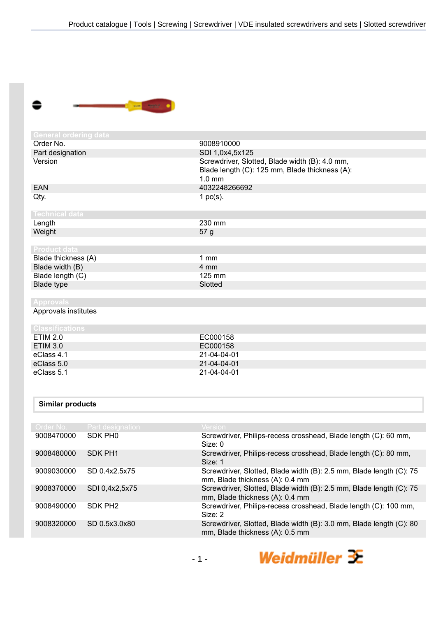

| General ordering data  |                                                                                                              |
|------------------------|--------------------------------------------------------------------------------------------------------------|
| Order No.              | 9008910000                                                                                                   |
| Part designation       | SDI 1,0x4,5x125                                                                                              |
| Version                | Screwdriver, Slotted, Blade width (B): 4.0 mm,<br>Blade length (C): 125 mm, Blade thickness (A):<br>$1.0$ mm |
| <b>EAN</b>             | 4032248266692                                                                                                |
| Qty.                   | 1 $pc(s)$ .                                                                                                  |
| <b>Technical data</b>  |                                                                                                              |
| Length                 | 230 mm                                                                                                       |
| Weight                 | 57 g                                                                                                         |
|                        |                                                                                                              |
| <b>Product data</b>    |                                                                                                              |
| Blade thickness (A)    | 1 <sub>mm</sub>                                                                                              |
| Blade width (B)        | 4 mm                                                                                                         |
| Blade length (C)       | 125 mm                                                                                                       |
| Blade type             | Slotted                                                                                                      |
|                        |                                                                                                              |
| <b>Approvals</b>       |                                                                                                              |
| Approvals institutes   |                                                                                                              |
| <b>Classifications</b> |                                                                                                              |
| <b>ETIM 2.0</b>        | EC000158                                                                                                     |
| <b>ETIM 3.0</b>        | EC000158                                                                                                     |
| eClass 4.1             | 21-04-04-01                                                                                                  |
| eClass 5.0             | 21-04-04-01                                                                                                  |
| eClass 5.1             | 21-04-04-01                                                                                                  |
|                        |                                                                                                              |
| Similar products       |                                                                                                              |

| "          |                     |                                                                                                        |
|------------|---------------------|--------------------------------------------------------------------------------------------------------|
|            |                     |                                                                                                        |
| Order No.  | Part designation    | Version,                                                                                               |
| 9008470000 | SDK PH <sub>0</sub> | Screwdriver, Philips-recess crosshead, Blade length (C): 60 mm,<br>Size: 0                             |
| 9008480000 | SDK PH1             | Screwdriver, Philips-recess crosshead, Blade length (C): 80 mm,<br>Size: 1                             |
| 9009030000 | SD 0.4x2.5x75       | Screwdriver, Slotted, Blade width (B): 2.5 mm, Blade length (C): 75<br>mm, Blade thickness (A): 0.4 mm |
| 9008370000 | SDI 0,4x2,5x75      | Screwdriver, Slotted, Blade width (B): 2.5 mm, Blade length (C): 75<br>mm, Blade thickness (A): 0.4 mm |
| 9008490000 | SDK PH <sub>2</sub> | Screwdriver, Philips-recess crosshead, Blade length (C): 100 mm,<br>Size: 2                            |
| 9008320000 | SD 0.5x3.0x80       | Screwdriver, Slotted, Blade width (B): 3.0 mm, Blade length (C): 80<br>mm, Blade thickness (A): 0.5 mm |
|            |                     |                                                                                                        |